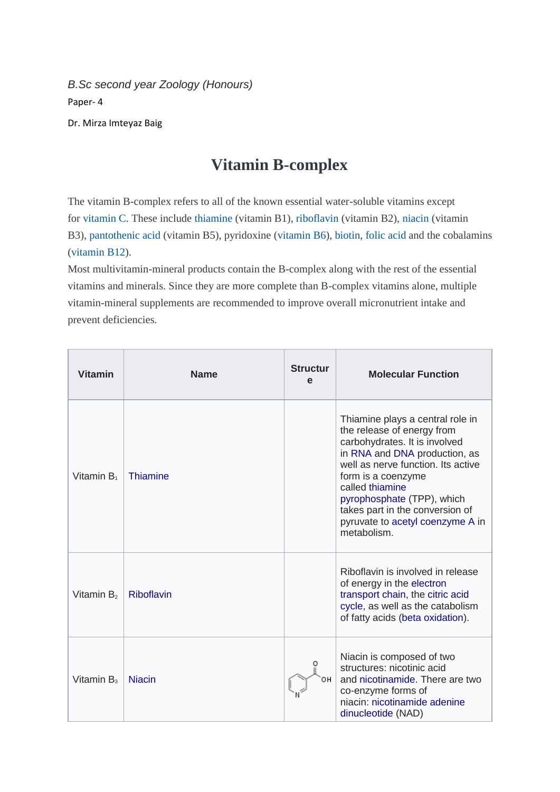*B.Sc second year Zoology (Honours)* Paper- 4

Dr. Mirza Imteyaz Baig

## **Vitamin B-complex**

The vitamin B-complex refers to all of the known essential water-soluble vitamins except for [vitamin](https://www.peacehealth.org/medical-topics/id/hn-2929001#hn-2929001-uses) C. These include [thiamine](https://www.peacehealth.org/medical-topics/id/hn-2923000#hn-2923000-uses) (vitamin B1), [riboflavin](https://www.peacehealth.org/medical-topics/id/hn-2925007#hn-2925007-uses) (vitamin B2), [niacin](https://www.peacehealth.org/medical-topics/id/hn-2926008#hn-2926008-uses) (vitamin B3), [pantothenic](https://www.peacehealth.org/medical-topics/id/hn-2927004#hn-2927004-uses) acid (vitamin B5), pyridoxine [\(vitamin](https://www.peacehealth.org/medical-topics/id/hn-2928009#hn-2928009-uses) B6), [biotin,](https://www.peacehealth.org/medical-topics/id/hn-2809001#hn-2809001-uses) [folic](https://www.peacehealth.org/medical-topics/id/hn-2846002#hn-2846002-uses) acid and the cobalamins [\(vitamin](https://www.peacehealth.org/medical-topics/id/hn-2924006#hn-2924006-uses) B12).

Most multivitamin-mineral products contain the B-complex along with the rest of the essential vitamins and minerals. Since they are more complete than B-complex vitamins alone, multiple vitamin-mineral supplements are recommended to improve overall micronutrient intake and prevent deficiencies.

| <b>Vitamin</b>         | <b>Name</b>   | <b>Structur</b><br>e | <b>Molecular Function</b>                                                                                                                                                                                                                                                                                                           |
|------------------------|---------------|----------------------|-------------------------------------------------------------------------------------------------------------------------------------------------------------------------------------------------------------------------------------------------------------------------------------------------------------------------------------|
| Vitamin B <sub>1</sub> | Thiamine      |                      | Thiamine plays a central role in<br>the release of energy from<br>carbohydrates. It is involved<br>in RNA and DNA production, as<br>well as nerve function. Its active<br>form is a coenzyme<br>called thiamine<br>pyrophosphate (TPP), which<br>takes part in the conversion of<br>pyruvate to acetyl coenzyme A in<br>metabolism. |
| Vitamin $B2$           | Riboflavin    |                      | Riboflavin is involved in release<br>of energy in the electron<br>transport chain, the citric acid<br>cycle, as well as the catabolism<br>of fatty acids (beta oxidation).                                                                                                                                                          |
| Vitamin $B_3$          | <b>Niacin</b> | он                   | Niacin is composed of two<br>structures: nicotinic acid<br>and nicotinamide. There are two<br>co-enzyme forms of<br>niacin: nicotinamide adenine<br>dinucleotide (NAD)                                                                                                                                                              |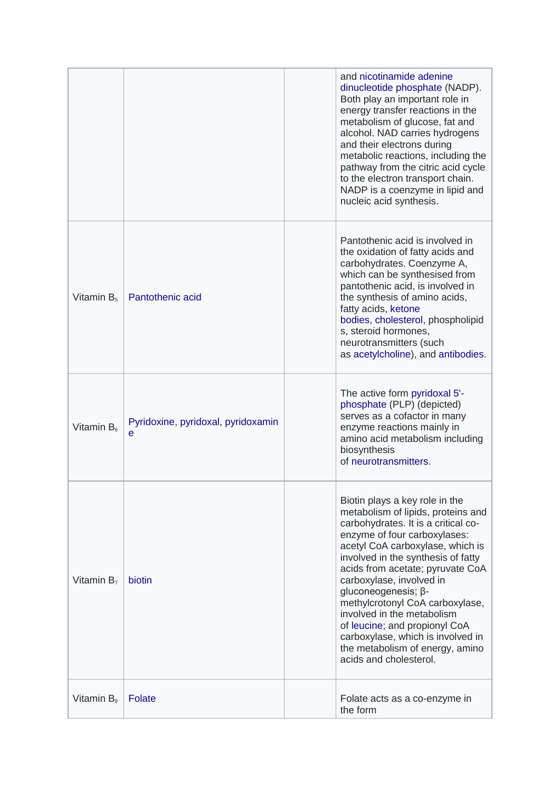|                        |                                         | and nicotinamide adenine<br>dinucleotide phosphate (NADP).<br>Both play an important role in<br>energy transfer reactions in the<br>metabolism of glucose, fat and<br>alcohol. NAD carries hydrogens<br>and their electrons during<br>metabolic reactions, including the<br>pathway from the citric acid cycle<br>to the electron transport chain.<br>NADP is a coenzyme in lipid and<br>nucleic acid synthesis.                                                                                                 |
|------------------------|-----------------------------------------|------------------------------------------------------------------------------------------------------------------------------------------------------------------------------------------------------------------------------------------------------------------------------------------------------------------------------------------------------------------------------------------------------------------------------------------------------------------------------------------------------------------|
| Vitamin $B_5$          | Pantothenic acid                        | Pantothenic acid is involved in<br>the oxidation of fatty acids and<br>carbohydrates. Coenzyme A,<br>which can be synthesised from<br>pantothenic acid, is involved in<br>the synthesis of amino acids,<br>fatty acids, ketone<br>bodies, cholesterol, phospholipid<br>s, steroid hormones,<br>neurotransmitters (such<br>as acetylcholine), and antibodies.                                                                                                                                                     |
| Vitamin B <sub>6</sub> | Pyridoxine, pyridoxal, pyridoxamin<br>е | The active form pyridoxal 5'-<br>phosphate (PLP) (depicted)<br>serves as a cofactor in many<br>enzyme reactions mainly in<br>amino acid metabolism including<br>biosynthesis<br>of neurotransmitters.                                                                                                                                                                                                                                                                                                            |
| Vitamin $B_7$          | biotin                                  | Biotin plays a key role in the<br>metabolism of lipids, proteins and<br>carbohydrates. It is a critical co-<br>enzyme of four carboxylases:<br>acetyl CoA carboxylase, which is<br>involved in the synthesis of fatty<br>acids from acetate; pyruvate CoA<br>carboxylase, involved in<br>gluconeogenesis; β-<br>methylcrotonyl CoA carboxylase,<br>involved in the metabolism<br>of leucine; and propionyl CoA<br>carboxylase, which is involved in<br>the metabolism of energy, amino<br>acids and cholesterol. |
| Vitamin B <sub>9</sub> | Folate                                  | Folate acts as a co-enzyme in<br>the form                                                                                                                                                                                                                                                                                                                                                                                                                                                                        |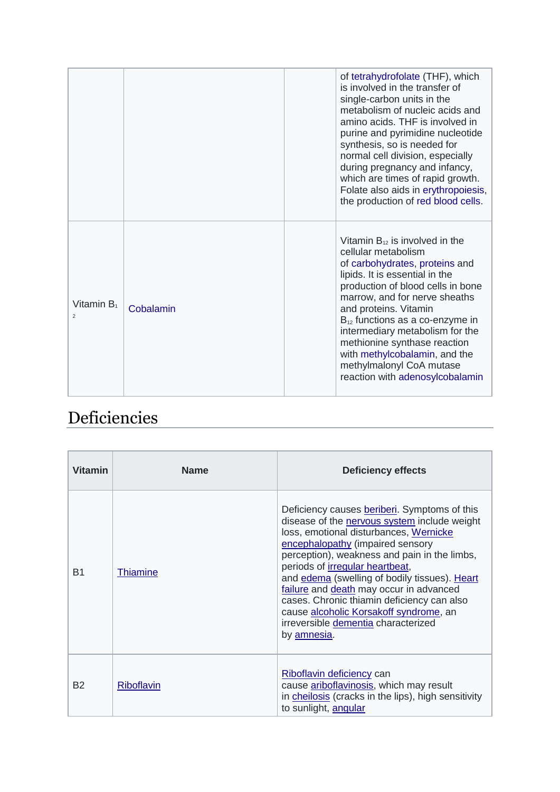|                                 |           | of tetrahydrofolate (THF), which<br>is involved in the transfer of<br>single-carbon units in the<br>metabolism of nucleic acids and<br>amino acids. THF is involved in<br>purine and pyrimidine nucleotide<br>synthesis, so is needed for<br>normal cell division, especially<br>during pregnancy and infancy,<br>which are times of rapid growth.<br>Folate also aids in erythropoiesis,                                                |
|---------------------------------|-----------|------------------------------------------------------------------------------------------------------------------------------------------------------------------------------------------------------------------------------------------------------------------------------------------------------------------------------------------------------------------------------------------------------------------------------------------|
|                                 |           | the production of red blood cells.                                                                                                                                                                                                                                                                                                                                                                                                       |
| Vitamin $B_1$<br>$\overline{2}$ | Cobalamin | Vitamin $B_{12}$ is involved in the<br>cellular metabolism<br>of carbohydrates, proteins and<br>lipids. It is essential in the<br>production of blood cells in bone<br>marrow, and for nerve sheaths<br>and proteins. Vitamin<br>$B_{12}$ functions as a co-enzyme in<br>intermediary metabolism for the<br>methionine synthase reaction<br>with methylcobalamin, and the<br>methylmalonyl CoA mutase<br>reaction with adenosylcobalamin |

## Deficiencies

| <b>Vitamin</b> | <b>Name</b>     | <b>Deficiency effects</b>                                                                                                                                                                                                                                                                                                                                                                                                                                                                               |
|----------------|-----------------|---------------------------------------------------------------------------------------------------------------------------------------------------------------------------------------------------------------------------------------------------------------------------------------------------------------------------------------------------------------------------------------------------------------------------------------------------------------------------------------------------------|
| B <sub>1</sub> | <b>Thiamine</b> | Deficiency causes beriberi. Symptoms of this<br>disease of the nervous system include weight<br>loss, emotional disturbances, Wernicke<br>encephalopathy (impaired sensory<br>perception), weakness and pain in the limbs,<br>periods of irregular heartbeat,<br>and edema (swelling of bodily tissues). Heart<br>failure and death may occur in advanced<br>cases. Chronic thiamin deficiency can also<br>cause alcoholic Korsakoff syndrome, an<br>irreversible dementia characterized<br>by amnesia. |
| <b>B2</b>      | Riboflavin      | Riboflavin deficiency can<br>cause ariboflavinosis, which may result<br>in cheilosis (cracks in the lips), high sensitivity<br>to sunlight, angular                                                                                                                                                                                                                                                                                                                                                     |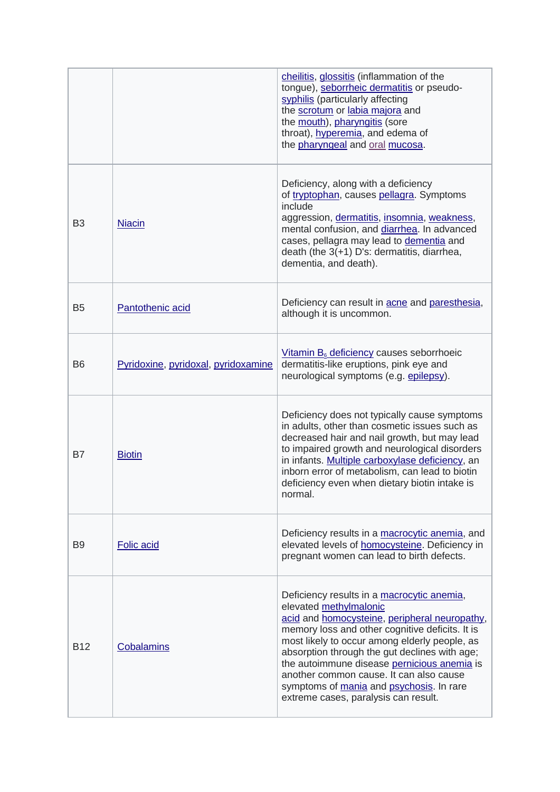|                |                                     | cheilitis, glossitis (inflammation of the<br>tongue), seborrheic dermatitis or pseudo-<br>syphilis (particularly affecting<br>the scrotum or labia majora and<br>the mouth), pharyngitis (sore<br>throat), hyperemia, and edema of<br>the pharyngeal and oral mucosa.                                                                                                                                                                                    |
|----------------|-------------------------------------|----------------------------------------------------------------------------------------------------------------------------------------------------------------------------------------------------------------------------------------------------------------------------------------------------------------------------------------------------------------------------------------------------------------------------------------------------------|
| B <sub>3</sub> | <b>Niacin</b>                       | Deficiency, along with a deficiency<br>of tryptophan, causes pellagra. Symptoms<br>include<br>aggression, dermatitis, insomnia, weakness,<br>mental confusion, and diarrhea. In advanced<br>cases, pellagra may lead to dementia and<br>death (the 3(+1) D's: dermatitis, diarrhea,<br>dementia, and death).                                                                                                                                             |
| B <sub>5</sub> | Pantothenic acid                    | Deficiency can result in acne and paresthesia,<br>although it is uncommon.                                                                                                                                                                                                                                                                                                                                                                               |
| B <sub>6</sub> | Pyridoxine, pyridoxal, pyridoxamine | Vitamin B <sub>6</sub> deficiency causes seborrhoeic<br>dermatitis-like eruptions, pink eye and<br>neurological symptoms (e.g. epilepsy).                                                                                                                                                                                                                                                                                                                |
| B7             | <b>Biotin</b>                       | Deficiency does not typically cause symptoms<br>in adults, other than cosmetic issues such as<br>decreased hair and nail growth, but may lead<br>to impaired growth and neurological disorders<br>in infants. Multiple carboxylase deficiency, an<br>inborn error of metabolism, can lead to biotin<br>deficiency even when dietary biotin intake is<br>normal.                                                                                          |
| B <sub>9</sub> | <b>Folic acid</b>                   | Deficiency results in a macrocytic anemia, and<br>elevated levels of homocysteine. Deficiency in<br>pregnant women can lead to birth defects.                                                                                                                                                                                                                                                                                                            |
| <b>B12</b>     | Cobalamins                          | Deficiency results in a macrocytic anemia,<br>elevated methylmalonic<br>acid and homocysteine, peripheral neuropathy,<br>memory loss and other cognitive deficits. It is<br>most likely to occur among elderly people, as<br>absorption through the gut declines with age;<br>the autoimmune disease pernicious anemia is<br>another common cause. It can also cause<br>symptoms of mania and psychosis. In rare<br>extreme cases, paralysis can result. |